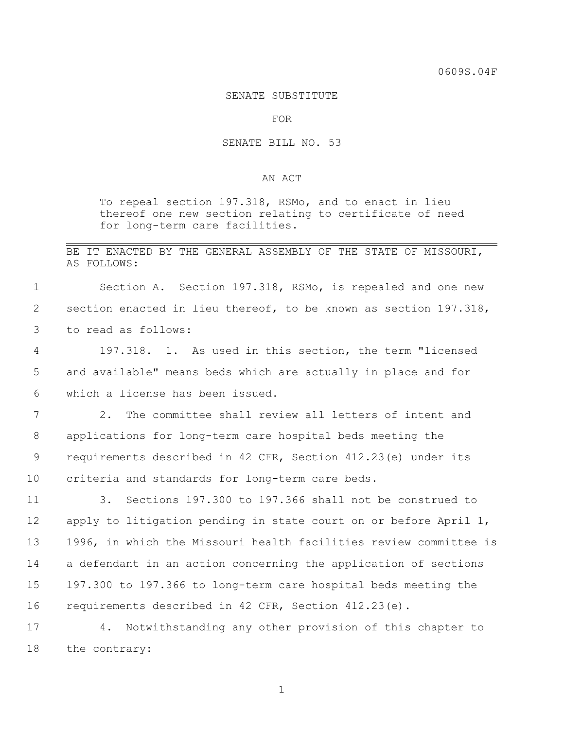## SENATE SUBSTITUTE

FOR

## SENATE BILL NO. 53

## AN ACT

To repeal section 197.318, RSMo, and to enact in lieu thereof one new section relating to certificate of need for long-term care facilities.

## BE IT ENACTED BY THE GENERAL ASSEMBLY OF THE STATE OF MISSOURI, AS FOLLOWS:

 Section A. Section 197.318, RSMo, is repealed and one new section enacted in lieu thereof, to be known as section 197.318, to read as follows:

 197.318. 1. As used in this section, the term "licensed and available" means beds which are actually in place and for which a license has been issued.

 2. The committee shall review all letters of intent and applications for long-term care hospital beds meeting the requirements described in 42 CFR, Section 412.23(e) under its criteria and standards for long-term care beds.

 3. Sections 197.300 to 197.366 shall not be construed to apply to litigation pending in state court on or before April 1, 1996, in which the Missouri health facilities review committee is a defendant in an action concerning the application of sections 197.300 to 197.366 to long-term care hospital beds meeting the requirements described in 42 CFR, Section 412.23(e).

 4. Notwithstanding any other provision of this chapter to the contrary: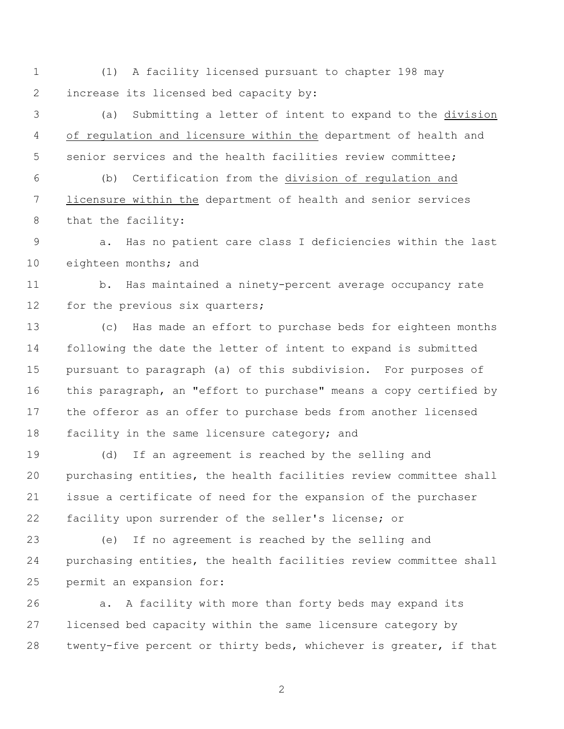(1) A facility licensed pursuant to chapter 198 may increase its licensed bed capacity by:

 (a) Submitting a letter of intent to expand to the division of regulation and licensure within the department of health and senior services and the health facilities review committee;

 (b) Certification from the division of regulation and licensure within the department of health and senior services that the facility:

 a. Has no patient care class I deficiencies within the last eighteen months; and

 b. Has maintained a ninety-percent average occupancy rate 12 for the previous six quarters;

 (c) Has made an effort to purchase beds for eighteen months following the date the letter of intent to expand is submitted pursuant to paragraph (a) of this subdivision. For purposes of this paragraph, an "effort to purchase" means a copy certified by the offeror as an offer to purchase beds from another licensed facility in the same licensure category; and

 (d) If an agreement is reached by the selling and purchasing entities, the health facilities review committee shall issue a certificate of need for the expansion of the purchaser facility upon surrender of the seller's license; or

 (e) If no agreement is reached by the selling and purchasing entities, the health facilities review committee shall permit an expansion for:

 a. A facility with more than forty beds may expand its licensed bed capacity within the same licensure category by twenty-five percent or thirty beds, whichever is greater, if that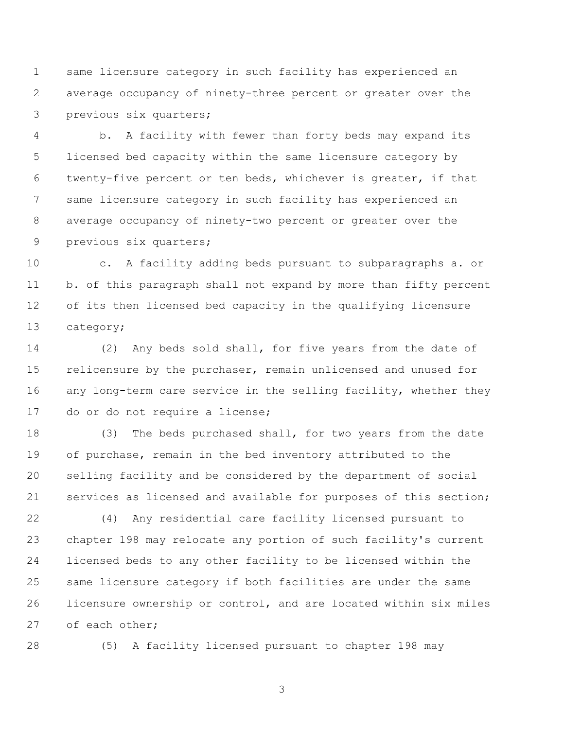same licensure category in such facility has experienced an average occupancy of ninety-three percent or greater over the previous six quarters;

 b. A facility with fewer than forty beds may expand its licensed bed capacity within the same licensure category by twenty-five percent or ten beds, whichever is greater, if that same licensure category in such facility has experienced an average occupancy of ninety-two percent or greater over the previous six quarters;

 c. A facility adding beds pursuant to subparagraphs a. or b. of this paragraph shall not expand by more than fifty percent of its then licensed bed capacity in the qualifying licensure category;

 (2) Any beds sold shall, for five years from the date of relicensure by the purchaser, remain unlicensed and unused for 16 any long-term care service in the selling facility, whether they do or do not require a license;

 (3) The beds purchased shall, for two years from the date 19 of purchase, remain in the bed inventory attributed to the selling facility and be considered by the department of social services as licensed and available for purposes of this section;

 (4) Any residential care facility licensed pursuant to chapter 198 may relocate any portion of such facility's current licensed beds to any other facility to be licensed within the same licensure category if both facilities are under the same licensure ownership or control, and are located within six miles of each other;

(5) A facility licensed pursuant to chapter 198 may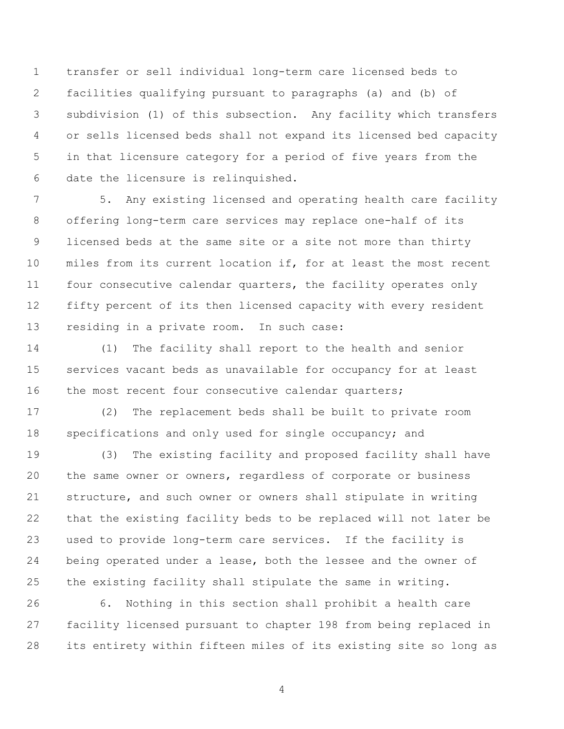transfer or sell individual long-term care licensed beds to facilities qualifying pursuant to paragraphs (a) and (b) of subdivision (1) of this subsection. Any facility which transfers or sells licensed beds shall not expand its licensed bed capacity in that licensure category for a period of five years from the date the licensure is relinquished.

 5. Any existing licensed and operating health care facility offering long-term care services may replace one-half of its licensed beds at the same site or a site not more than thirty miles from its current location if, for at least the most recent four consecutive calendar quarters, the facility operates only fifty percent of its then licensed capacity with every resident residing in a private room. In such case:

 (1) The facility shall report to the health and senior services vacant beds as unavailable for occupancy for at least 16 the most recent four consecutive calendar quarters;

 (2) The replacement beds shall be built to private room specifications and only used for single occupancy; and

 (3) The existing facility and proposed facility shall have the same owner or owners, regardless of corporate or business structure, and such owner or owners shall stipulate in writing that the existing facility beds to be replaced will not later be used to provide long-term care services. If the facility is being operated under a lease, both the lessee and the owner of the existing facility shall stipulate the same in writing.

 6. Nothing in this section shall prohibit a health care facility licensed pursuant to chapter 198 from being replaced in its entirety within fifteen miles of its existing site so long as